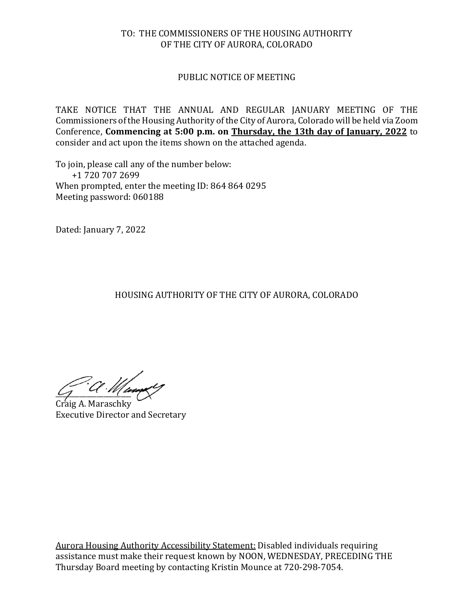#### TO: THE COMMISSIONERS OF THE HOUSING AUTHORITY OF THE CITY OF AURORA, COLORADO

### PUBLIC NOTICE OF MEETING

TAKE NOTICE THAT THE ANNUAL AND REGULAR JANUARY MEETING OF THE Commissioners of the Housing Authority of the City of Aurora, Colorado will be held via Zoom Conference, **Commencing at 5:00 p.m. on Thursday, the 13th day of January, 2022** to consider and act upon the items shown on the attached agenda.

To join, please call any of the number below: +1 720 707 2699 When prompted, enter the meeting ID: 864 864 0295 Meeting password: 060188

Dated: January 7, 2022

HOUSING AUTHORITY OF THE CITY OF AURORA, COLORADO

 $\frac{1}{2}$ 

Craig A. Maraschky Executive Director and Secretary

Aurora Housing Authority Accessibility Statement: Disabled individuals requiring assistance must make their request known by NOON, WEDNESDAY, PRECEDING THE Thursday Board meeting by contacting Kristin Mounce at 720-298-7054.